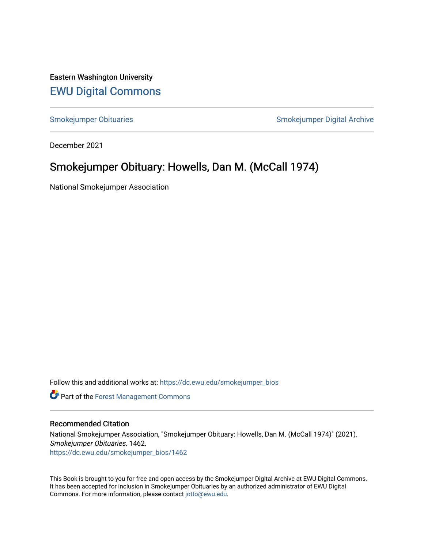Eastern Washington University [EWU Digital Commons](https://dc.ewu.edu/)

[Smokejumper Obituaries](https://dc.ewu.edu/smokejumper_bios) **Smokeyer Community** Smokejumper Digital Archive

December 2021

## Smokejumper Obituary: Howells, Dan M. (McCall 1974)

National Smokejumper Association

Follow this and additional works at: [https://dc.ewu.edu/smokejumper\\_bios](https://dc.ewu.edu/smokejumper_bios?utm_source=dc.ewu.edu%2Fsmokejumper_bios%2F1462&utm_medium=PDF&utm_campaign=PDFCoverPages) 

**Part of the [Forest Management Commons](http://network.bepress.com/hgg/discipline/92?utm_source=dc.ewu.edu%2Fsmokejumper_bios%2F1462&utm_medium=PDF&utm_campaign=PDFCoverPages)** 

## Recommended Citation

National Smokejumper Association, "Smokejumper Obituary: Howells, Dan M. (McCall 1974)" (2021). Smokejumper Obituaries. 1462. [https://dc.ewu.edu/smokejumper\\_bios/1462](https://dc.ewu.edu/smokejumper_bios/1462?utm_source=dc.ewu.edu%2Fsmokejumper_bios%2F1462&utm_medium=PDF&utm_campaign=PDFCoverPages)

This Book is brought to you for free and open access by the Smokejumper Digital Archive at EWU Digital Commons. It has been accepted for inclusion in Smokejumper Obituaries by an authorized administrator of EWU Digital Commons. For more information, please contact [jotto@ewu.edu.](mailto:jotto@ewu.edu)